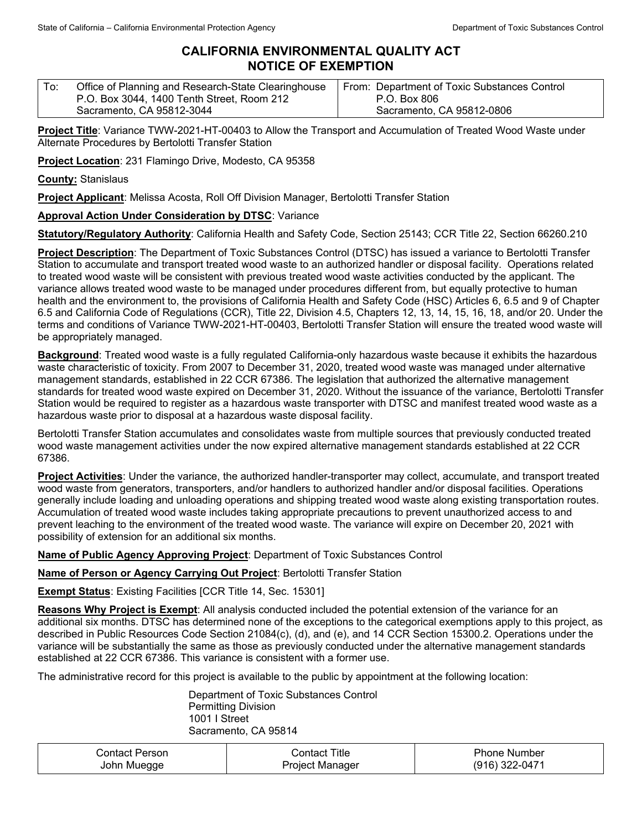## **CALIFORNIA ENVIRONMENTAL QUALITY ACT NOTICE OF EXEMPTION**

| Office of Planning and Research-State Clearinghouse<br>From: Department of Toxic Substances Control<br>P.O. Box 3044, 1400 Tenth Street, Room 212<br>P.O. Box 806<br>Sacramento, CA 95812-0806 |  |
|------------------------------------------------------------------------------------------------------------------------------------------------------------------------------------------------|--|
| Sacramento, CA 95812-3044                                                                                                                                                                      |  |

**Project Title**: Variance TWW-2021-HT-00403 to Allow the Transport and Accumulation of Treated Wood Waste under Alternate Procedures by Bertolotti Transfer Station

**Project Location**: 231 Flamingo Drive, Modesto, CA 95358

**County:** Stanislaus

**Project Applicant**: Melissa Acosta, Roll Off Division Manager, Bertolotti Transfer Station

## **Approval Action Under Consideration by DTSC**: Variance

**Statutory/Regulatory Authority**: California Health and Safety Code, Section 25143; CCR Title 22, Section 66260.210

**Project Description**: The Department of Toxic Substances Control (DTSC) has issued a variance to Bertolotti Transfer Station to accumulate and transport treated wood waste to an authorized handler or disposal facility. Operations related to treated wood waste will be consistent with previous treated wood waste activities conducted by the applicant. The variance allows treated wood waste to be managed under procedures different from, but equally protective to human health and the environment to, the provisions of California Health and Safety Code (HSC) Articles 6, 6.5 and 9 of Chapter 6.5 and California Code of Regulations (CCR), Title 22, Division 4.5, Chapters 12, 13, 14, 15, 16, 18, and/or 20. Under the terms and conditions of Variance TWW-2021-HT-00403, Bertolotti Transfer Station will ensure the treated wood waste will be appropriately managed.

**Background**: Treated wood waste is a fully regulated California-only hazardous waste because it exhibits the hazardous waste characteristic of toxicity. From 2007 to December 31, 2020, treated wood waste was managed under alternative management standards, established in 22 CCR 67386. The legislation that authorized the alternative management standards for treated wood waste expired on December 31, 2020. Without the issuance of the variance, Bertolotti Transfer Station would be required to register as a hazardous waste transporter with DTSC and manifest treated wood waste as a hazardous waste prior to disposal at a hazardous waste disposal facility.

Bertolotti Transfer Station accumulates and consolidates waste from multiple sources that previously conducted treated wood waste management activities under the now expired alternative management standards established at 22 CCR 67386.

**Project Activities**: Under the variance, the authorized handler-transporter may collect, accumulate, and transport treated wood waste from generators, transporters, and/or handlers to authorized handler and/or disposal facilities. Operations generally include loading and unloading operations and shipping treated wood waste along existing transportation routes. Accumulation of treated wood waste includes taking appropriate precautions to prevent unauthorized access to and prevent leaching to the environment of the treated wood waste. The variance will expire on December 20, 2021 with possibility of extension for an additional six months.

**Name of Public Agency Approving Project**: Department of Toxic Substances Control

**Name of Person or Agency Carrying Out Project**: Bertolotti Transfer Station

**Exempt Status**: Existing Facilities [CCR Title 14, Sec. 15301]

**Reasons Why Project is Exempt**: All analysis conducted included the potential extension of the variance for an additional six months. DTSC has determined none of the exceptions to the categorical exemptions apply to this project, as described in Public Resources Code Section 21084(c), (d), and (e), and 14 CCR Section 15300.2. Operations under the variance will be substantially the same as those as previously conducted under the alternative management standards established at 22 CCR 67386. This variance is consistent with a former use.

The administrative record for this project is available to the public by appointment at the following location:

Department of Toxic Substances Control Permitting Division 1001 I Street Sacramento, CA 95814

| Contact Person. | Contact Title   | <b>Phone Number</b> |
|-----------------|-----------------|---------------------|
| John Muegge     | Project Manager | (916) 322-0471      |